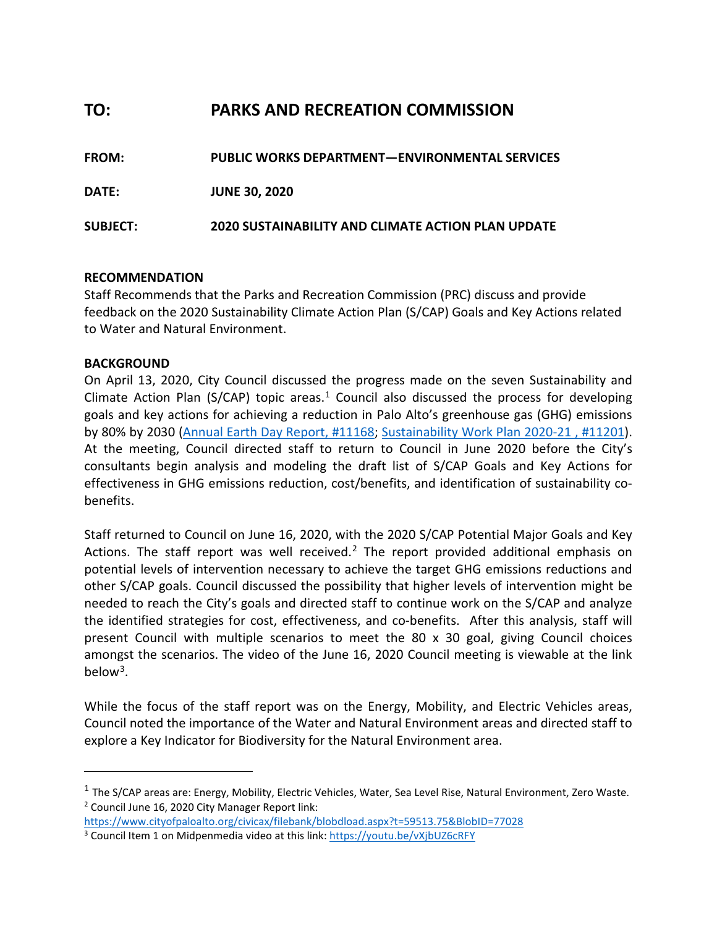# **TO: PARKS AND RECREATION COMMISSION**

| <b>FROM:</b>    | <b>PUBLIC WORKS DEPARTMENT-ENVIRONMENTAL SERVICES</b>     |
|-----------------|-----------------------------------------------------------|
| DATE:           | <b>JUNE 30, 2020</b>                                      |
| <b>SUBJECT:</b> | <b>2020 SUSTAINABILITY AND CLIMATE ACTION PLAN UPDATE</b> |

# **RECOMMENDATION**

Staff Recommends that the Parks and Recreation Commission (PRC) discuss and provide feedback on the 2020 Sustainability Climate Action Plan (S/CAP) Goals and Key Actions related to Water and Natural Environment.

# **BACKGROUND**

On April 13, 2020, City Council discussed the progress made on the seven Sustainability and Climate Action Plan (S/CAP) topic areas. $1$  Council also discussed the process for developing goals and key actions for achieving a reduction in Palo Alto's greenhouse gas (GHG) emissions by 80% by 2030 [\(Annual Earth Day Report, #11168;](https://www.cityofpaloalto.org/civicax/filebank/blobdload.aspx?t=58065.82&BlobID=76054) [Sustainability Work Plan](https://www.cityofpaloalto.org/civicax/filebank/blobdload.aspx?t=53475.02&BlobID=76048) 2020-21 , #11201). At the meeting, Council directed staff to return to Council in June 2020 before the City's consultants begin analysis and modeling the draft list of S/CAP Goals and Key Actions for effectiveness in GHG emissions reduction, cost/benefits, and identification of sustainability cobenefits.

Staff returned to Council on June 16, 2020, with the 2020 S/CAP Potential Major Goals and Key Actions. The staff report was well received.<sup>[2](#page-0-1)</sup> The report provided additional emphasis on potential levels of intervention necessary to achieve the target GHG emissions reductions and other S/CAP goals. Council discussed the possibility that higher levels of intervention might be needed to reach the City's goals and directed staff to continue work on the S/CAP and analyze the identified strategies for cost, effectiveness, and co-benefits. After this analysis, staff will present Council with multiple scenarios to meet the 80 x 30 goal, giving Council choices amongst the scenarios. The video of the June 16, 2020 Council meeting is viewable at the link below[3.](#page-0-2)

While the focus of the staff report was on the Energy, Mobility, and Electric Vehicles areas, Council noted the importance of the Water and Natural Environment areas and directed staff to explore a Key Indicator for Biodiversity for the Natural Environment area.

<span id="page-0-0"></span> $1$  The S/CAP areas are: Energy, Mobility, Electric Vehicles, Water, Sea Level Rise, Natural Environment, Zero Waste. <sup>2</sup> Council June 16, 2020 City Manager Report link:

<span id="page-0-2"></span><span id="page-0-1"></span><https://www.cityofpaloalto.org/civicax/filebank/blobdload.aspx?t=59513.75&BlobID=77028> <sup>3</sup> Council Item 1 on Midpenmedia video at this link: https://youtu.be/vXjbUZ6cRFY